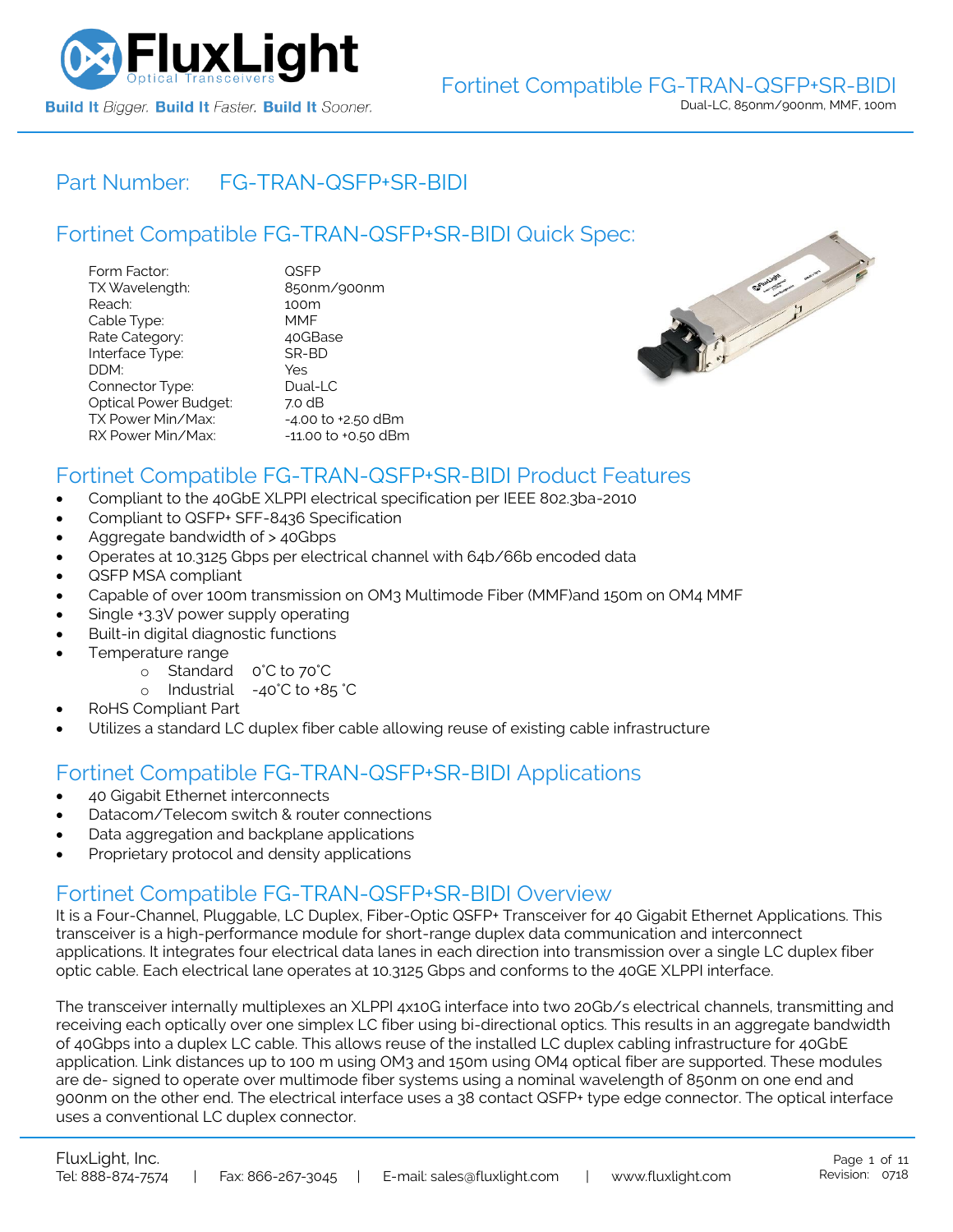

### Part Number: [FG-TRAN-QSFP+SR-BIDI](https://www.fluxlight.com/FG-TRAN-QSFPSR-BIDI/)

### Fortinet Compatible [FG-TRAN-QSFP+SR-BIDI](https://www.fluxlight.com/FG-TRAN-QSFPSR-BIDI/) Quick Spec:

| Form Factor:                 | QSFP                   |
|------------------------------|------------------------|
| TX Wavelength:               | 850nm/900nm            |
| Reach:                       | 100m                   |
| Cable Type:                  | MMF                    |
| Rate Category:               | 40GBase                |
| Interface Type:              | SR-BD                  |
| DDM:                         | Yes                    |
| Connector Type:              | Dual-LC                |
| <b>Optical Power Budget:</b> | 7.0 dB                 |
| TX Power Min/Max:            | $-4.00$ to $+2.50$ dBm |
| RX Power Min/Max:            | -11.00 to +0.50 dBm    |



### Fortinet Compatible [FG-TRAN-QSFP+SR-BIDI](https://www.fluxlight.com/FG-TRAN-QSFPSR-BIDI/) Product Features

- Compliant to the 40GbE XLPPI electrical specification per IEEE 802.3ba-2010
- Compliant to QSFP+ SFF-8436 Specification
- Aggregate bandwidth of > 40Gbps
- Operates at 10.3125 Gbps per electrical channel with 64b/66b encoded data
- QSFP MSA compliant
- Capable of over 100m transmission on OM3 Multimode Fiber (MMF)and 150m on OM4 MMF
- Single +3.3V power supply operating
- Built-in digital diagnostic functions
- Temperature range
	- o Standard 0°C to 70°C
	- o Industrial -40°C to +85 °C
- RoHS Compliant Part
- Utilizes a standard LC duplex fiber cable allowing reuse of existing cable infrastructure

### Fortinet Compatible [FG-TRAN-QSFP+SR-BIDI](https://www.fluxlight.com/FG-TRAN-QSFPSR-BIDI/) Applications

- 40 Gigabit Ethernet interconnects
- Datacom/Telecom switch & router connections
- Data aggregation and backplane applications
- Proprietary protocol and density applications

### Fortinet Compatible [FG-TRAN-QSFP+SR-BIDI](https://www.fluxlight.com/FG-TRAN-QSFPSR-BIDI/) Overview

It is a Four-Channel, Pluggable, LC Duplex, Fiber-Optic QSFP+ Transceiver for 40 Gigabit Ethernet Applications. This transceiver is a high-performance module for short-range duplex data communication and interconnect applications. It integrates four electrical data lanes in each direction into transmission over a single LC duplex fiber optic cable. Each electrical lane operates at 10.3125 Gbps and conforms to the 40GE XLPPI interface.

The transceiver internally multiplexes an XLPPI 4x10G interface into two 20Gb/s electrical channels, transmitting and receiving each optically over one simplex LC fiber using bi-directional optics. This results in an aggregate bandwidth of 40Gbps into a duplex LC cable. This allows reuse of the installed LC duplex cabling infrastructure for 40GbE application. Link distances up to 100 m using OM3 and 150m using OM4 optical fiber are supported. These modules are de- signed to operate over multimode fiber systems using a nominal wavelength of 850nm on one end and 900nm on the other end. The electrical interface uses a 38 contact QSFP+ type edge connector. The optical interface uses a conventional LC duplex connector.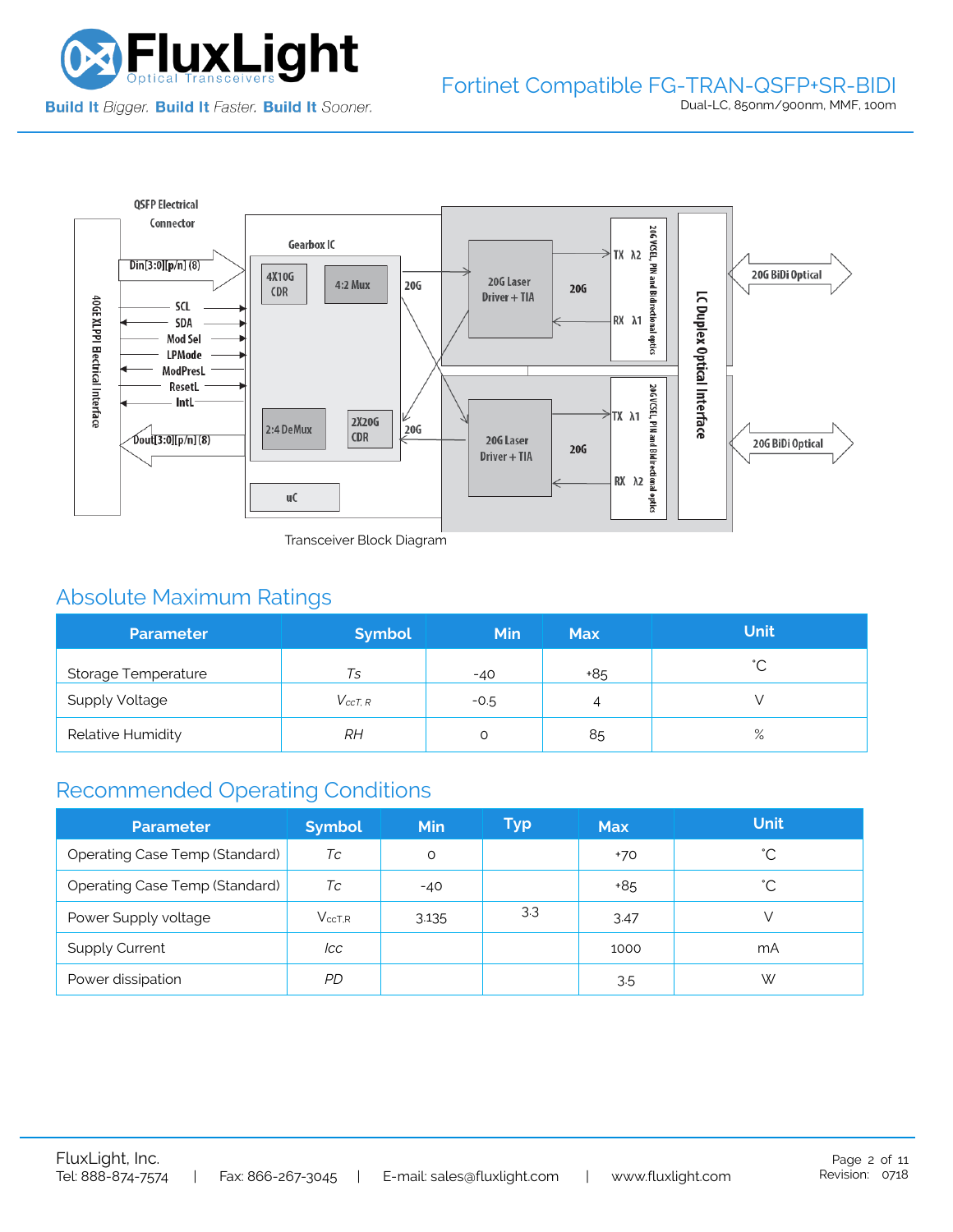



Transceiver Block Diagram

## Absolute Maximum Ratings

| <b>Parameter</b>      | <b>Symbol</b>  | <b>Min</b> | <b>Max</b> | <b>Unit</b> |
|-----------------------|----------------|------------|------------|-------------|
| Storage Temperature   | Ts             | $-40$      | +85        | $\hat{ }$   |
| <b>Supply Voltage</b> | $V_{c c T. R}$ | $-0.5$     | 4          |             |
| Relative Humidity     | RН             |            | 85         | $\%$        |

### Recommended Operating Conditions

| <b>Parameter</b>                      | <b>Symbol</b> | Min   | Typ | <b>Max</b> | <b>Unit</b> |
|---------------------------------------|---------------|-------|-----|------------|-------------|
| Operating Case Temp (Standard)        | Тc            | O     |     | +70        | °С          |
| <b>Operating Case Temp (Standard)</b> | Tc            | $-40$ |     | +85        | °С          |
| Power Supply voltage                  | $V_{ccT.R}$   | 3.135 | 3.3 | 3.47       |             |
| <b>Supply Current</b>                 | lcc           |       |     | 1000       | mA          |
| Power dissipation                     | PD            |       |     | 3.5        | W           |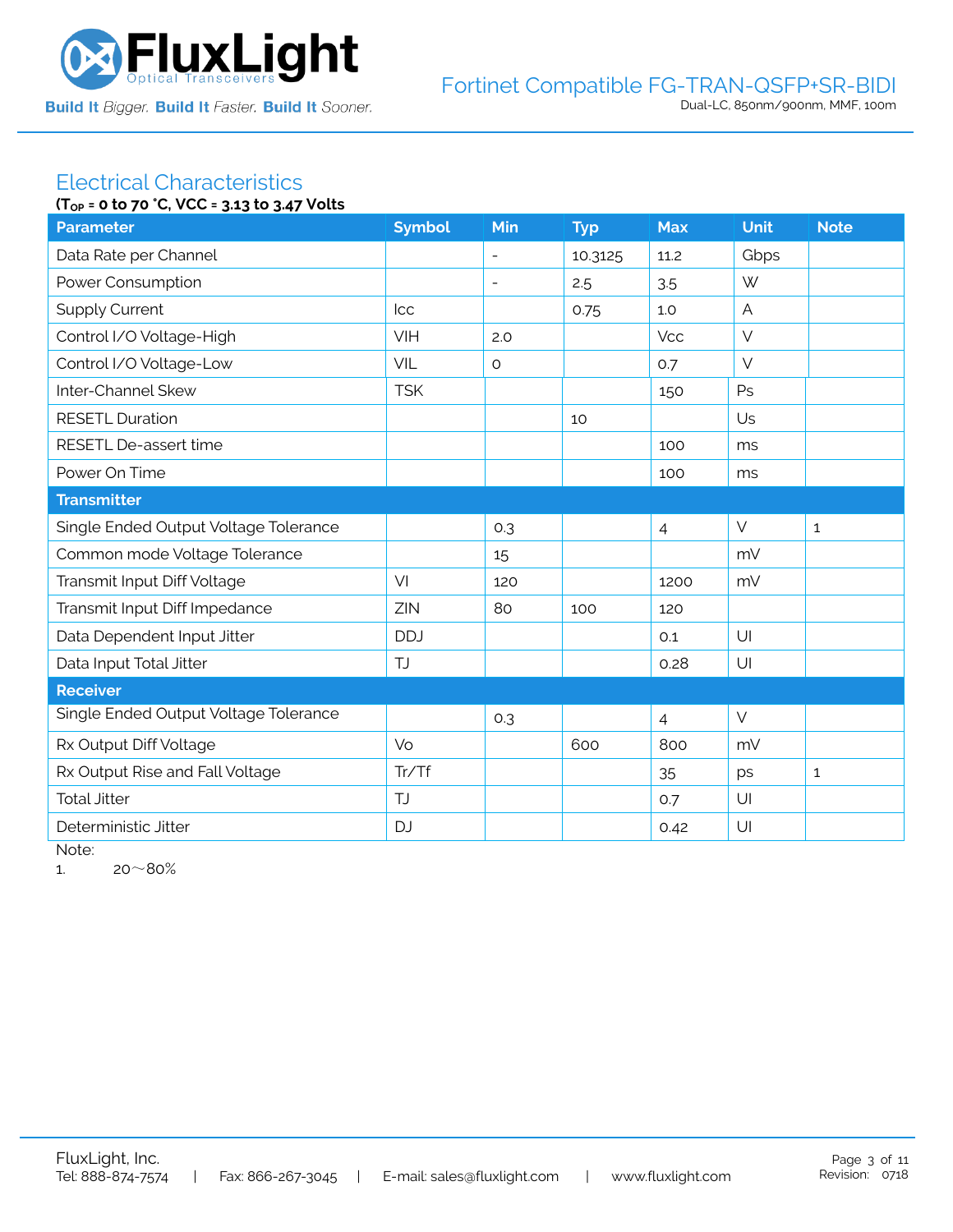

# Electrical Characteristics

| (T <sub>OP</sub> = 0 to 70 °C, VCC = 3.13 to 3.47 Volts |               |                          |            |                |                |              |  |
|---------------------------------------------------------|---------------|--------------------------|------------|----------------|----------------|--------------|--|
| <b>Parameter</b>                                        | <b>Symbol</b> | Min                      | <b>Typ</b> | <b>Max</b>     | <b>Unit</b>    | <b>Note</b>  |  |
| Data Rate per Channel                                   |               | $\overline{\phantom{0}}$ | 10.3125    | 11.2           | Gbps           |              |  |
| Power Consumption                                       |               | $\overline{\phantom{a}}$ | 2.5        | 3.5            | W              |              |  |
| <b>Supply Current</b>                                   | <b>Icc</b>    |                          | 0.75       | 1.0            | $\overline{A}$ |              |  |
| Control I/O Voltage-High                                | <b>VIH</b>    | 2.0                      |            | <b>Vcc</b>     | $\vee$         |              |  |
| Control I/O Voltage-Low                                 | VIL           | $\circ$                  |            | 0.7            | $\vee$         |              |  |
| Inter-Channel Skew                                      | <b>TSK</b>    |                          |            | 150            | Ps             |              |  |
| <b>RESETL Duration</b>                                  |               |                          | 10         |                | Us             |              |  |
| RESETL De-assert time                                   |               |                          |            | 100            | ms             |              |  |
| Power On Time                                           |               |                          |            | 100            | ms             |              |  |
| <b>Transmitter</b>                                      |               |                          |            |                |                |              |  |
| Single Ended Output Voltage Tolerance                   |               | 0.3                      |            | $\overline{4}$ | $\vee$         | $\mathbf{1}$ |  |
| Common mode Voltage Tolerance                           |               | 15                       |            |                | mV             |              |  |
| Transmit Input Diff Voltage                             | VI            | 120                      |            | 1200           | mV             |              |  |
| Transmit Input Diff Impedance                           | ZIN           | 80                       | 100        | 120            |                |              |  |
| Data Dependent Input Jitter                             | <b>DDJ</b>    |                          |            | 0.1            | U              |              |  |
| Data Input Total Jitter                                 | <b>TJ</b>     |                          |            | 0.28           | U              |              |  |
| <b>Receiver</b>                                         |               |                          |            |                |                |              |  |
| Single Ended Output Voltage Tolerance                   |               | 0.3                      |            | $\overline{4}$ | $\vee$         |              |  |
| Rx Output Diff Voltage                                  | Vo            |                          | 600        | 800            | mV             |              |  |
| Rx Output Rise and Fall Voltage                         | Tr/Tf         |                          |            | 35             | ps             | $\mathbf{1}$ |  |
| <b>Total Jitter</b>                                     | <b>TJ</b>     |                          |            | O.7            | U              |              |  |
| Deterministic Jitter                                    | <b>DJ</b>     |                          |            | 0.42           | U              |              |  |

Note:

1.  $20~80%$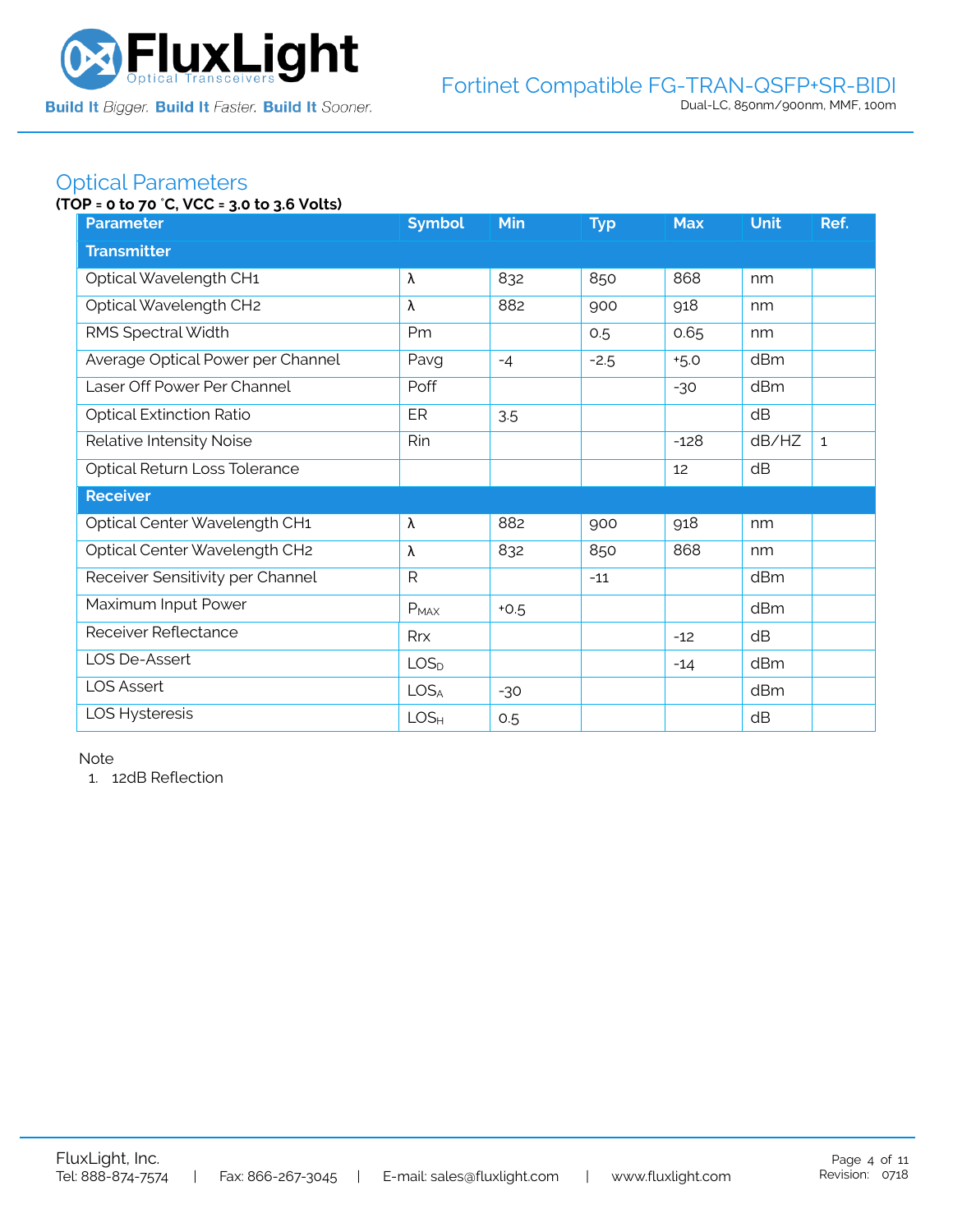

### Optical Parameters

#### **(TOP = 0 to 70** °**C, VCC = 3.0 to 3.6 Volts)**

| <b>Parameter</b>                  | <b>Symbol</b>    | Min    | <b>Typ</b> | <b>Max</b> | <b>Unit</b> | Ref.         |  |  |  |
|-----------------------------------|------------------|--------|------------|------------|-------------|--------------|--|--|--|
| <b>Transmitter</b>                |                  |        |            |            |             |              |  |  |  |
| Optical Wavelength CH1            | λ                | 832    | 850        | 868        | nm          |              |  |  |  |
| Optical Wavelength CH2            | λ                | 882    | 900        | 918        | nm          |              |  |  |  |
| RMS Spectral Width                | Pm               |        | 0.5        | 0.65       | nm          |              |  |  |  |
| Average Optical Power per Channel | Pavg             | $-4$   | $-2.5$     | $+5.0$     | dBm         |              |  |  |  |
| Laser Off Power Per Channel       | Poff             |        |            | $-30$      | dBm         |              |  |  |  |
| <b>Optical Extinction Ratio</b>   | ER               | 3.5    |            |            | dB          |              |  |  |  |
| Relative Intensity Noise          | Rin              |        |            | $-128$     | dB/HZ       | $\mathbf{1}$ |  |  |  |
| Optical Return Loss Tolerance     |                  |        |            | 12         | dB          |              |  |  |  |
| <b>Receiver</b>                   |                  |        |            |            |             |              |  |  |  |
| Optical Center Wavelength CH1     | λ                | 882    | 900        | 918        | nm          |              |  |  |  |
| Optical Center Wavelength CH2     | λ                | 832    | 850        | 868        | nm          |              |  |  |  |
| Receiver Sensitivity per Channel  | $\mathsf{R}$     |        | $-11$      |            | dBm         |              |  |  |  |
| Maximum Input Power               | $P_{MAX}$        | $+0.5$ |            |            | dBm         |              |  |  |  |
| Receiver Reflectance              | <b>Rrx</b>       |        |            | $-12$      | dB          |              |  |  |  |
| LOS De-Assert                     | LOS <sub>D</sub> |        |            | $-14$      | dBm         |              |  |  |  |
| <b>LOS Assert</b>                 | LOS <sub>A</sub> | $-30$  |            |            | dBm         |              |  |  |  |
| LOS Hysteresis                    | LOS <sub>H</sub> | 0.5    |            |            | dB          |              |  |  |  |

Note

1. 12dB Reflection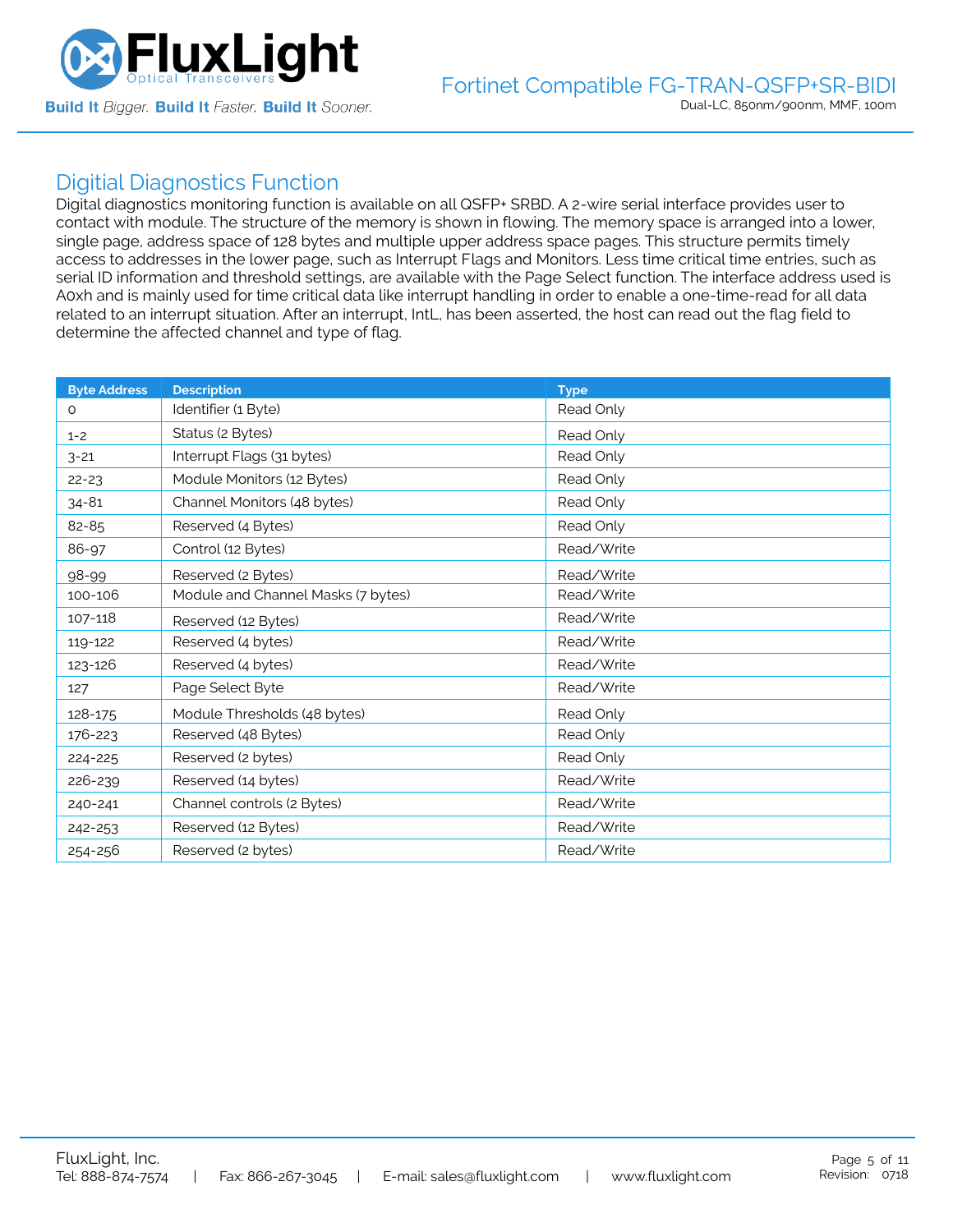

### Digitial Diagnostics Function

Digital diagnostics monitoring function is available on all QSFP+ SRBD. A 2-wire serial interface provides user to contact with module. The structure of the memory is shown in flowing. The memory space is arranged into a lower, single page, address space of 128 bytes and multiple upper address space pages. This structure permits timely access to addresses in the lower page, such as Interrupt Flags and Monitors. Less time critical time entries, such as serial ID information and threshold settings, are available with the Page Select function. The interface address used is A0xh and is mainly used for time critical data like interrupt handling in order to enable a one-time-read for all data related to an interrupt situation. After an interrupt, IntL, has been asserted, the host can read out the flag field to determine the affected channel and type of flag.

| <b>Byte Address</b> | <b>Description</b>                 | <b>Type</b> |
|---------------------|------------------------------------|-------------|
| 0                   | Identifier (1 Byte)                | Read Only   |
| $1 - 2$             | Status (2 Bytes)                   | Read Only   |
| $3 - 21$            | Interrupt Flags (31 bytes)         | Read Only   |
| $22 - 23$           | Module Monitors (12 Bytes)         | Read Only   |
| $34 - 81$           | Channel Monitors (48 bytes)        | Read Only   |
| 82-85               | Reserved (4 Bytes)                 | Read Only   |
| 86-97               | Control (12 Bytes)                 | Read/Write  |
| 98-99               | Reserved (2 Bytes)                 | Read/Write  |
| 100-106             | Module and Channel Masks (7 bytes) | Read/Write  |
| 107-118             | Reserved (12 Bytes)                | Read/Write  |
| 119-122             | Reserved (4 bytes)                 | Read/Write  |
| 123-126             | Reserved (4 bytes)                 | Read/Write  |
| 127                 | Page Select Byte                   | Read/Write  |
| 128-175             | Module Thresholds (48 bytes)       | Read Only   |
| 176-223             | Reserved (48 Bytes)                | Read Only   |
| 224-225             | Reserved (2 bytes)                 | Read Only   |
| 226-239             | Reserved (14 bytes)                | Read/Write  |
| 240-241             | Channel controls (2 Bytes)         | Read/Write  |
| 242-253             | Reserved (12 Bytes)                | Read/Write  |
| 254-256             | Reserved (2 bytes)                 | Read/Write  |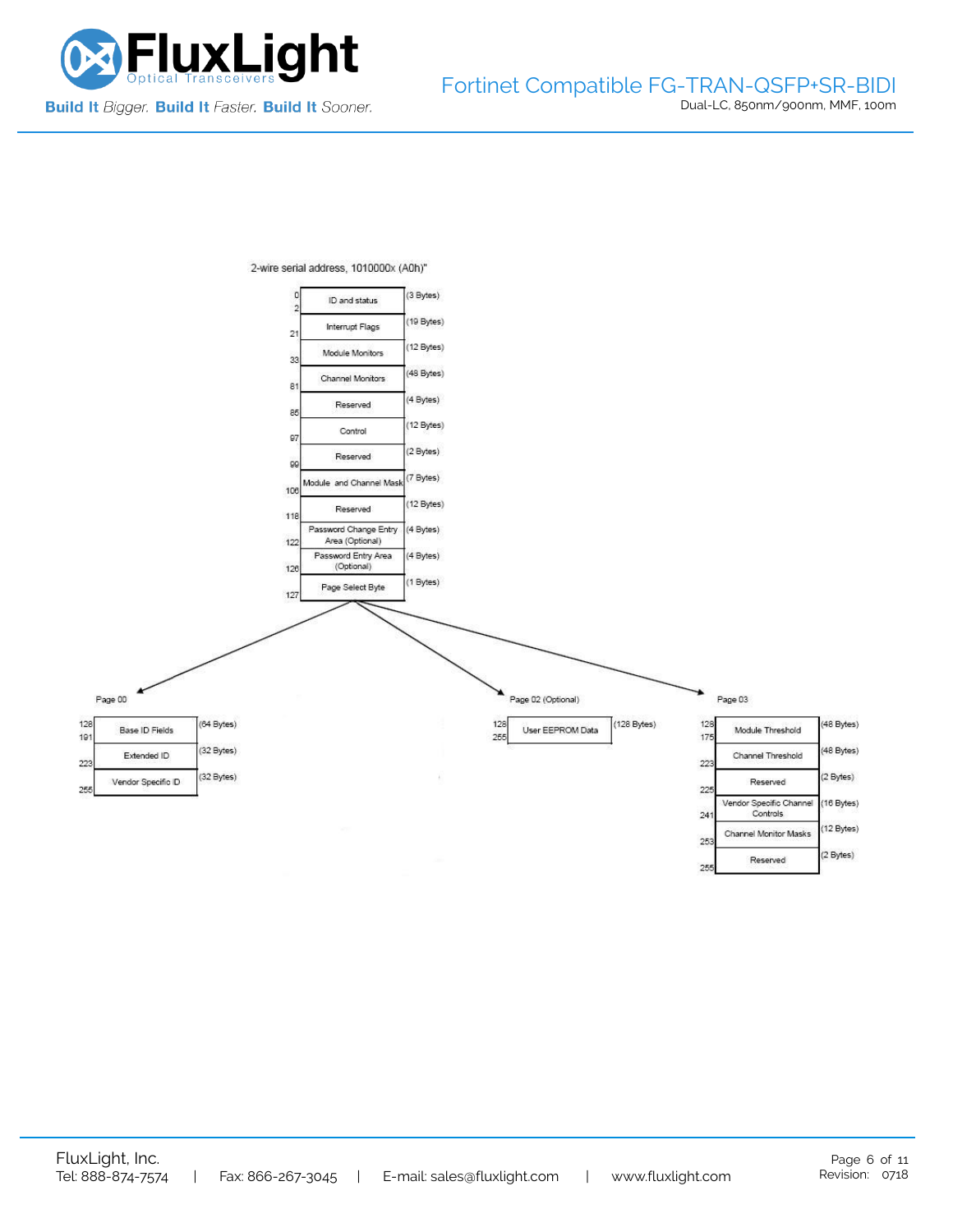

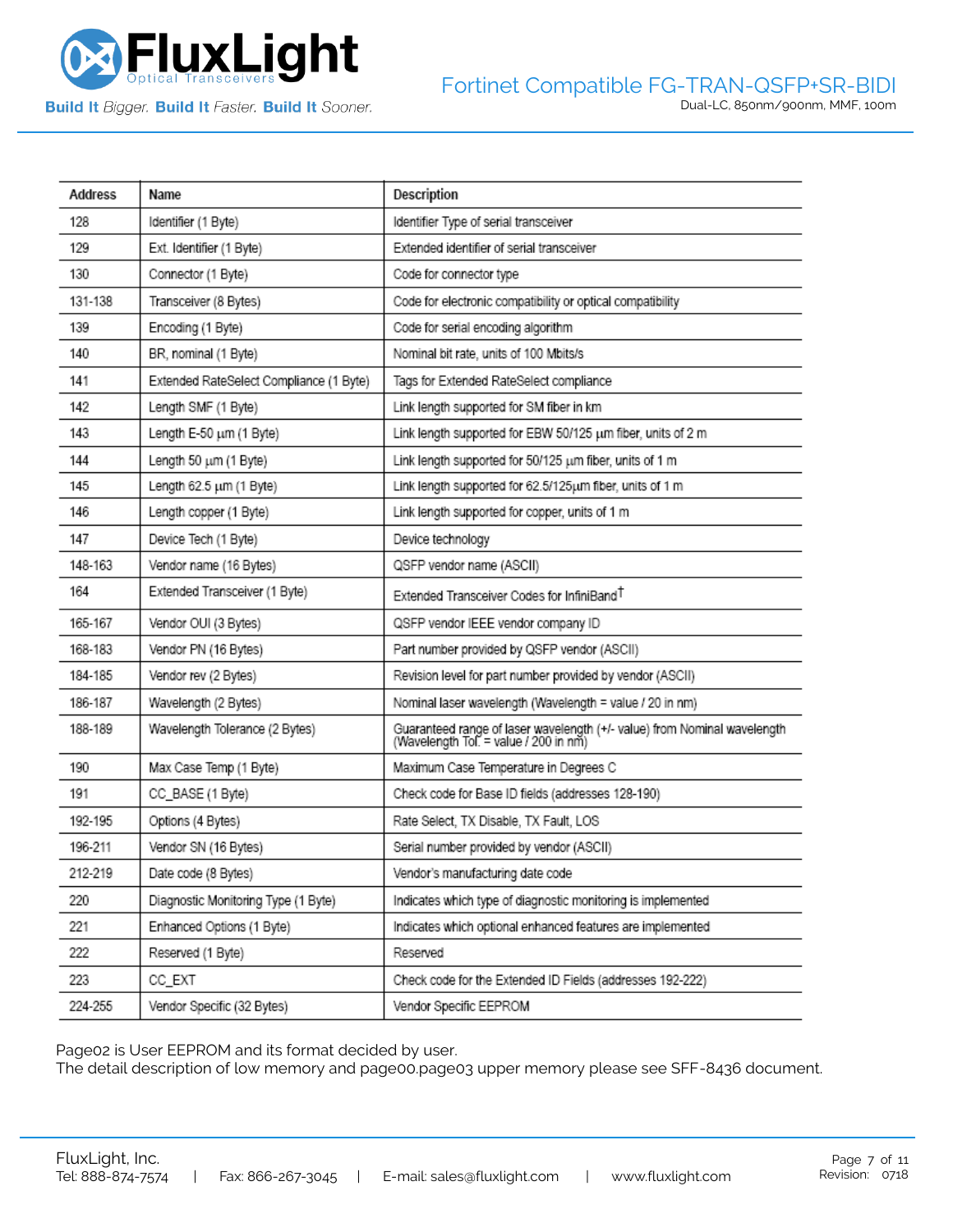

**Build It Bigger. Build It Faster. Build It Sooner.** 

| Address | Name                                    | Description                                                                                                       |
|---------|-----------------------------------------|-------------------------------------------------------------------------------------------------------------------|
| 128     | Identifier (1 Byte)                     | Identifier Type of serial transceiver                                                                             |
| 129     | Ext. Identifier (1 Byte)                | Extended identifier of serial transceiver                                                                         |
| 130     | Connector (1 Byte)                      | Code for connector type                                                                                           |
| 131-138 | Transceiver (8 Bytes)                   | Code for electronic compatibility or optical compatibility                                                        |
| 139     | Encoding (1 Byte)                       | Code for serial encoding algorithm                                                                                |
| 140     | BR, nominal (1 Byte)                    | Nominal bit rate, units of 100 Mbits/s                                                                            |
| 141     | Extended RateSelect Compliance (1 Byte) | Tags for Extended RateSelect compliance                                                                           |
| 142     | Length SMF (1 Byte)                     | Link length supported for SM fiber in km                                                                          |
| 143     | Length E-50 um (1 Byte)                 | Link length supported for EBW 50/125 um fiber, units of 2 m                                                       |
| 144     | Length 50 um (1 Byte)                   | Link length supported for 50/125 um fiber, units of 1 m                                                           |
| 145     | Length 62.5 um (1 Byte)                 | Link length supported for 62.5/125um fiber, units of 1 m                                                          |
| 146     | Length copper (1 Byte)                  | Link length supported for copper, units of 1 m                                                                    |
| 147     | Device Tech (1 Byte)                    | Device technology                                                                                                 |
| 148-163 | Vendor name (16 Bytes)                  | QSFP vendor name (ASCII)                                                                                          |
| 164     | Extended Transceiver (1 Byte)           | Extended Transceiver Codes for InfiniBand <sup>T</sup>                                                            |
| 165-167 | Vendor OUI (3 Bytes)                    | QSFP vendor IEEE vendor company ID                                                                                |
| 168-183 | Vendor PN (16 Bytes)                    | Part number provided by QSFP vendor (ASCII)                                                                       |
| 184-185 | Vendor rev (2 Bytes)                    | Revision level for part number provided by vendor (ASCII)                                                         |
| 186-187 | Wavelength (2 Bytes)                    | Nominal laser wavelength (Wavelength = value / 20 in nm)                                                          |
| 188-189 | Wavelength Tolerance (2 Bytes)          | Guaranteed range of laser wavelength (+/- value) from Nominal wavelength<br>(Wavelength Tol. = value / 200 in nm) |
| 190     | Max Case Temp (1 Byte)                  | Maximum Case Temperature in Degrees C                                                                             |
| 191     | CC_BASE (1 Byte)                        | Check code for Base ID fields (addresses 128-190)                                                                 |
| 192-195 | Options (4 Bytes)                       | Rate Select, TX Disable, TX Fault, LOS                                                                            |
| 196-211 | Vendor SN (16 Bytes)                    | Serial number provided by vendor (ASCII)                                                                          |
| 212-219 | Date code (8 Bytes)                     | Vendor's manufacturing date code                                                                                  |
| 220     | Diagnostic Monitoring Type (1 Byte)     | Indicates which type of diagnostic monitoring is implemented                                                      |
| 221     | Enhanced Options (1 Byte)               | Indicates which optional enhanced features are implemented                                                        |
| 222     | Reserved (1 Byte)                       | Reserved                                                                                                          |
| 223     | CC_EXT                                  | Check code for the Extended ID Fields (addresses 192-222)                                                         |
| 224-255 | Vendor Specific (32 Bytes)              | Vendor Specific EEPROM                                                                                            |

Page02 is User EEPROM and its format decided by user.

The detail description of low memory and page00.page03 upper memory please see SFF-8436 document.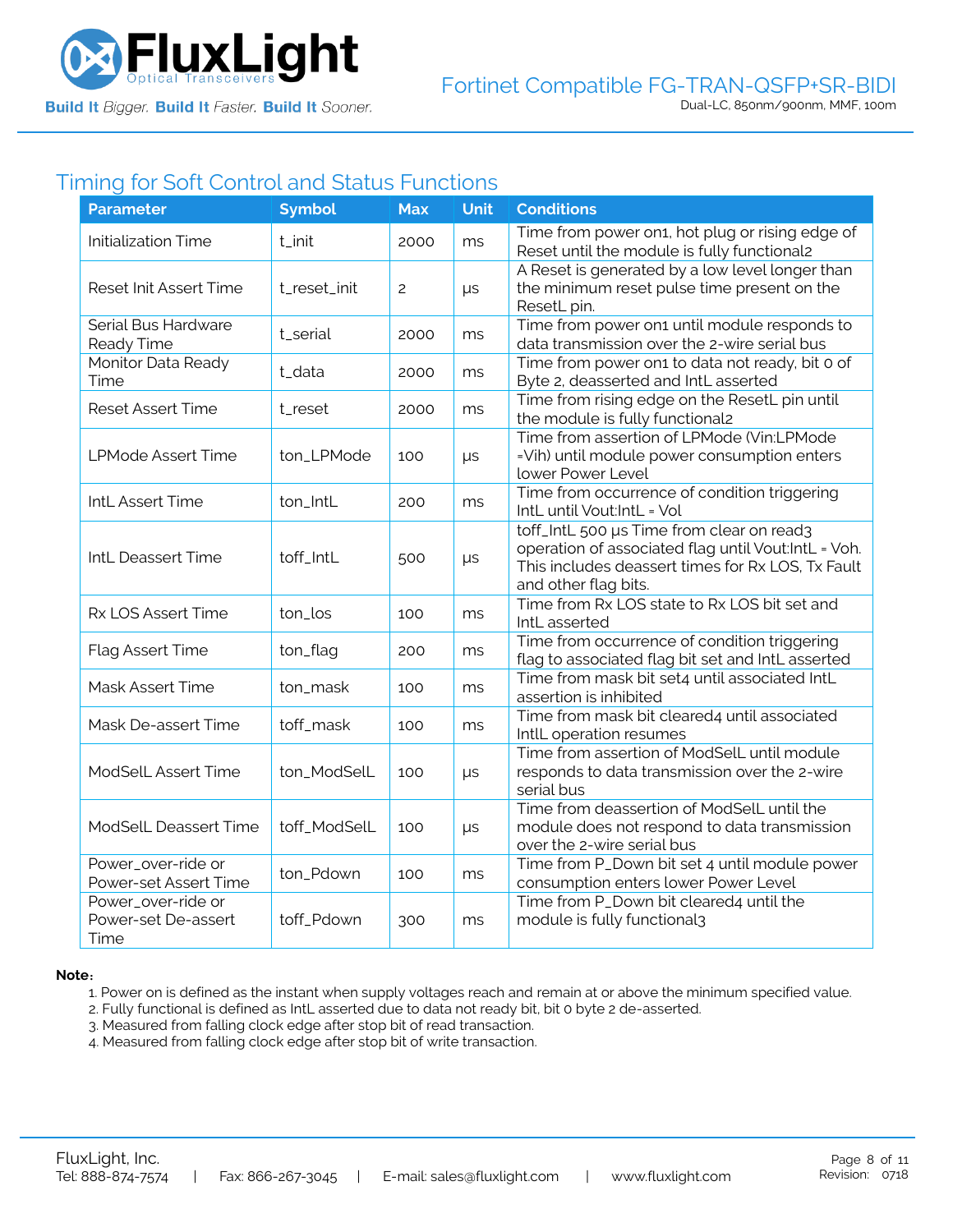

### Timing for Soft Control and Status Functions

| <b>Parameter</b>                                  | <b>Symbol</b> | <b>Max</b>     | <b>Unit</b> | <b>Conditions</b>                                                                                                                                                             |
|---------------------------------------------------|---------------|----------------|-------------|-------------------------------------------------------------------------------------------------------------------------------------------------------------------------------|
| <b>Initialization Time</b>                        | t_init        | 2000           | ms          | Time from power on1, hot plug or rising edge of<br>Reset until the module is fully functional2                                                                                |
| Reset Init Assert Time                            | t_reset_init  | $\overline{c}$ | $\mu s$     | A Reset is generated by a low level longer than<br>the minimum reset pulse time present on the<br>ResetL pin.                                                                 |
| Serial Bus Hardware<br>Ready Time                 | t_serial      | 2000           | ms          | Time from power on1 until module responds to<br>data transmission over the 2-wire serial bus                                                                                  |
| Monitor Data Ready<br>Time                        | t_data        | 2000           | ms          | Time from power on1 to data not ready, bit 0 of<br>Byte 2, deasserted and IntL asserted                                                                                       |
| <b>Reset Assert Time</b>                          | t_reset       | 2000           | ms          | Time from rising edge on the ResetL pin until<br>the module is fully functional2                                                                                              |
| <b>LPMode Assert Time</b>                         | ton_LPMode    | 100            | $\mu s$     | Time from assertion of LPMode (Vin:LPMode<br>=Vih) until module power consumption enters<br>lower Power Level                                                                 |
| IntL Assert Time                                  | ton_IntL      | 200            | ms          | Time from occurrence of condition triggering<br>IntL until Vout:IntL = Vol                                                                                                    |
| IntL Deassert Time                                | toff_IntL     | 500            | $\mu s$     | toff_IntL 500 µs Time from clear on read3<br>operation of associated flag until Vout:IntL = Voh.<br>This includes deassert times for Rx LOS, Tx Fault<br>and other flag bits. |
| Rx LOS Assert Time                                | ton_los       | 100            | ms          | Time from Rx LOS state to Rx LOS bit set and<br>IntL asserted                                                                                                                 |
| Flag Assert Time                                  | ton_flag      | 200            | ms          | Time from occurrence of condition triggering<br>flag to associated flag bit set and IntL asserted                                                                             |
| Mask Assert Time                                  | ton_mask      | 100            | ms          | Time from mask bit set4 until associated IntL<br>assertion is inhibited                                                                                                       |
| Mask De-assert Time                               | toff_mask     | 100            | ms          | Time from mask bit cleared4 until associated<br>IntlL operation resumes                                                                                                       |
| ModSelL Assert Time                               | ton_ModSelL   | 100            | μs          | Time from assertion of ModSelL until module<br>responds to data transmission over the 2-wire<br>serial bus                                                                    |
| ModSelL Deassert Time                             | toff_ModSelL  | 100            | $\mu s$     | Time from deassertion of ModSelL until the<br>module does not respond to data transmission<br>over the 2-wire serial bus                                                      |
| Power_over-ride or<br>Power-set Assert Time       | ton_Pdown     | 100            | ms          | Time from P_Down bit set 4 until module power<br>consumption enters lower Power Level                                                                                         |
| Power_over-ride or<br>Power-set De-assert<br>Time | toff_Pdown    | 300            | ms          | Time from P_Down bit cleared4 until the<br>module is fully functional3                                                                                                        |

#### **Note**:

1. Power on is defined as the instant when supply voltages reach and remain at or above the minimum specified value.

- 2. Fully functional is defined as IntL asserted due to data not ready bit, bit 0 byte 2 de-asserted.
- 3. Measured from falling clock edge after stop bit of read transaction.
- 4. Measured from falling clock edge after stop bit of write transaction.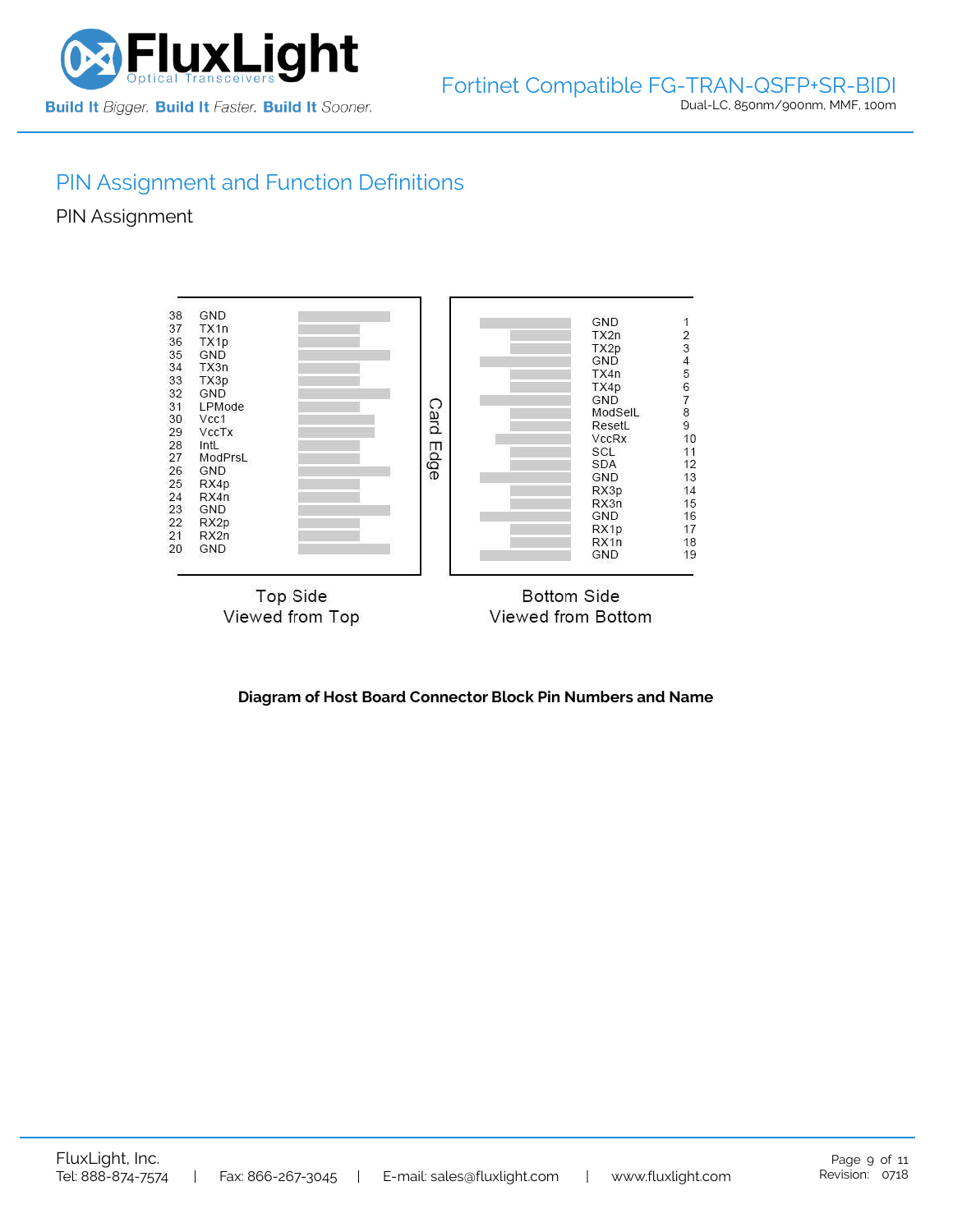

## PIN Assignment and Function Definitions

PIN Assignment



**Diagram of Host Board Connector Block Pin Numbers and Name**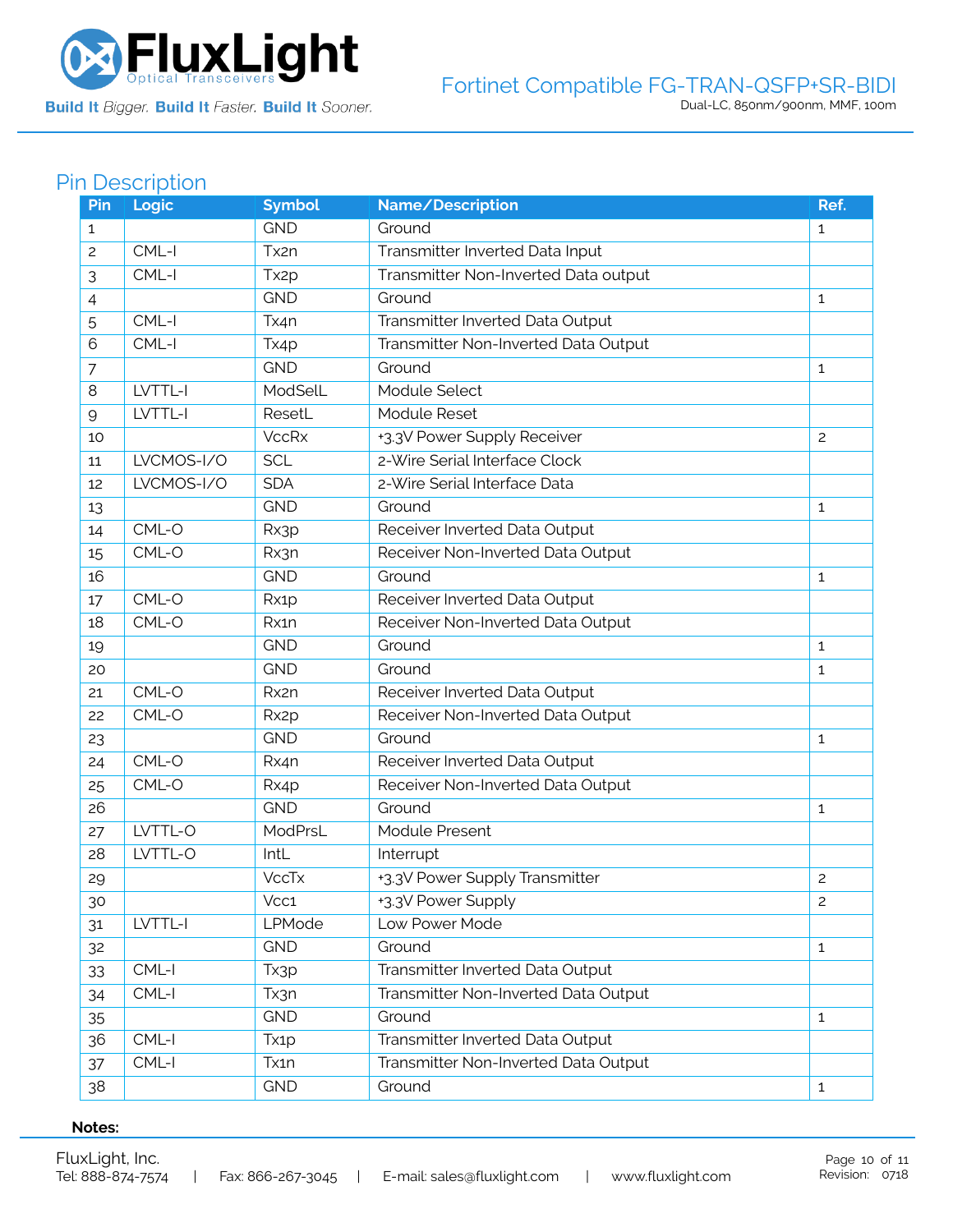

Build It Bigger. Build It Faster. Build It Sooner.

### Fortinet Compatible FG-TRAN-QSFP+SR-BIDI Dual-LC, 850nm/900nm, MMF, 100m

## Pin Description

| Pin | Logic      | <b>Symbol</b>     | Name/Description                     | Ref.           |
|-----|------------|-------------------|--------------------------------------|----------------|
| 1   |            | <b>GND</b>        | Ground                               | $\mathbf{1}$   |
| 2   | CML-I      | Tx2n              | Transmitter Inverted Data Input      |                |
| 3   | CML-I      | Tx <sub>2</sub> p | Transmitter Non-Inverted Data output |                |
| 4   |            | <b>GND</b>        | Ground                               | $\mathbf{1}$   |
| 5   | CML-I      | Tx4n              | Transmitter Inverted Data Output     |                |
| 6   | CML-I      | Tx4p              | Transmitter Non-Inverted Data Output |                |
| 7   |            | <b>GND</b>        | Ground                               | $\mathbf{1}$   |
| 8   | LVTTL-I    | ModSelL           | Module Select                        |                |
| 9   | LVTTL-I    | ResetL            | Module Reset                         |                |
| 10  |            | <b>VccRx</b>      | +3.3V Power Supply Receiver          | $\overline{c}$ |
| 11  | LVCMOS-I/O | <b>SCL</b>        | 2-Wire Serial Interface Clock        |                |
| 12  | LVCMOS-I/O | <b>SDA</b>        | 2-Wire Serial Interface Data         |                |
| 13  |            | <b>GND</b>        | Ground                               | 1              |
| 14  | CML-O      | Rx3p              | Receiver Inverted Data Output        |                |
| 15  | CML-O      | Rx3n              | Receiver Non-Inverted Data Output    |                |
| 16  |            | <b>GND</b>        | Ground                               | 1              |
| 17  | CML-O      | Rx1p              | Receiver Inverted Data Output        |                |
| 18  | CML-O      | Rx1n              | Receiver Non-Inverted Data Output    |                |
| 19  |            | <b>GND</b>        | Ground                               | $\mathbf{1}$   |
| 20  |            | <b>GND</b>        | Ground                               | 1              |
| 21  | CML-O      | Rx2n              | Receiver Inverted Data Output        |                |
| 22  | CML-O      | Rx <sub>2</sub> p | Receiver Non-Inverted Data Output    |                |
| 23  |            | <b>GND</b>        | Ground                               | 1              |
| 24  | CML-O      | Rx4n              | Receiver Inverted Data Output        |                |
| 25  | CML-O      | Rx4p              | Receiver Non-Inverted Data Output    |                |
| 26  |            | <b>GND</b>        | Ground                               | 1              |
| 27  | LVTTL-O    | ModPrsL           | Module Present                       |                |
| 28  | LVTTL-O    | IntL              | Interrupt                            |                |
| 29  |            | <b>VccTx</b>      | +3.3V Power Supply Transmitter       | $\mathbf{2}$   |
| 30  |            | Vcc1              | +3.3V Power Supply                   | $\overline{c}$ |
| 31  | LVTTL-I    | LPMode            | Low Power Mode                       |                |
| 32  |            | <b>GND</b>        | Ground                               | $\mathbf{1}$   |
| 33  | CML-I      | Tx3p              | Transmitter Inverted Data Output     |                |
| 34  | CML-I      | Tx3n              | Transmitter Non-Inverted Data Output |                |
| 35  |            | <b>GND</b>        | Ground                               | $\mathbf{1}$   |
| 36  | CML-I      | Tx <sub>1</sub> p | Transmitter Inverted Data Output     |                |
| 37  | $CML-I$    | Tx1n              | Transmitter Non-Inverted Data Output |                |
| 38  |            | <b>GND</b>        | Ground                               | $\mathbf{1}$   |

#### **Notes:**